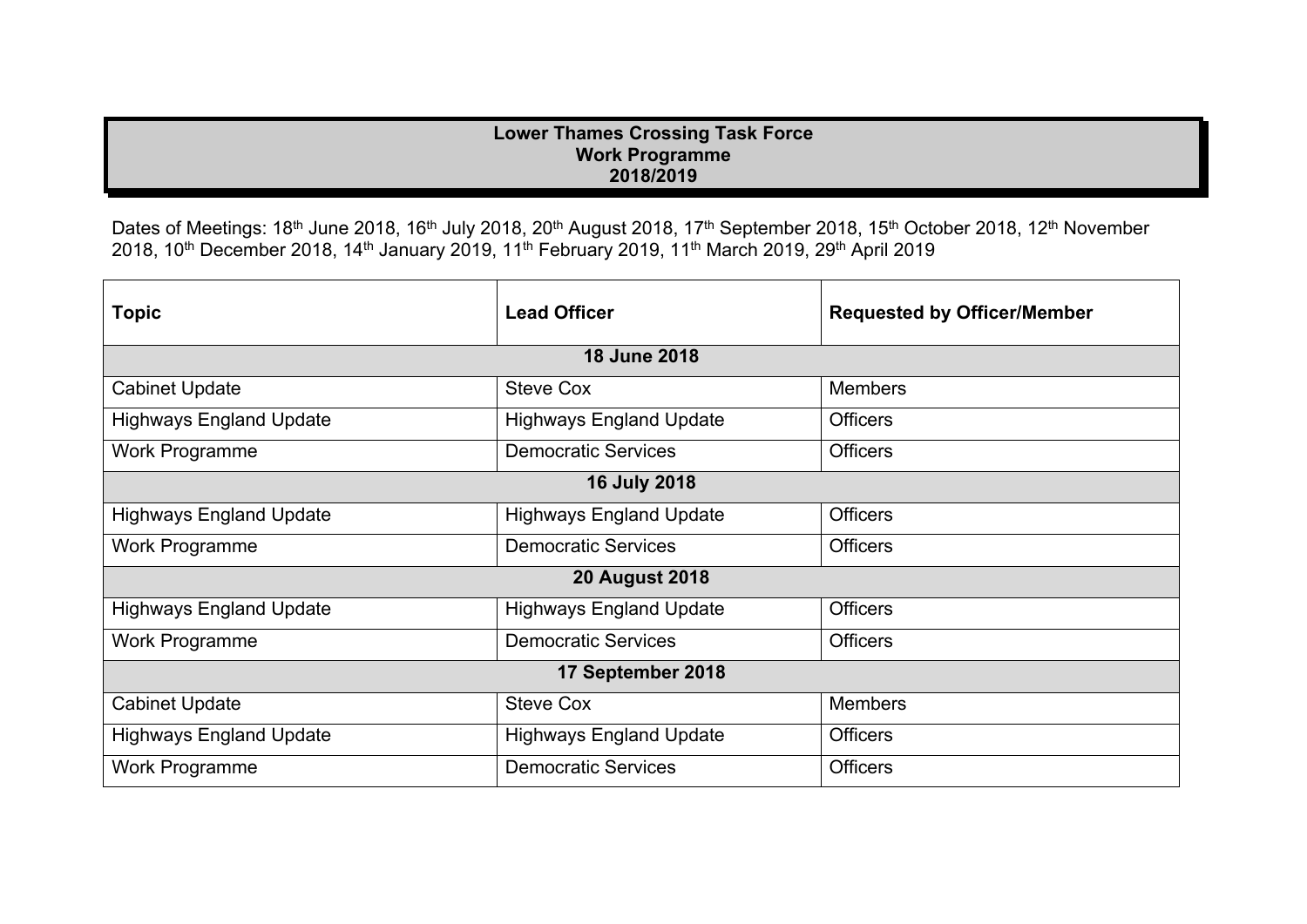## **Lower Thames Crossing Task Force Work Programme 2018/2019**

Dates of Meetings: 18<sup>th</sup> June 2018, 16<sup>th</sup> July 2018, 20<sup>th</sup> August 2018, 17<sup>th</sup> September 2018, 15<sup>th</sup> October 2018, 12<sup>th</sup> November 2018, 10th December 2018, 14th January 2019, 11th February 2019, 11th March 2019, 29th April 2019

| <b>Topic</b>                   | <b>Lead Officer</b>            | <b>Requested by Officer/Member</b> |  |  |
|--------------------------------|--------------------------------|------------------------------------|--|--|
| <b>18 June 2018</b>            |                                |                                    |  |  |
| <b>Cabinet Update</b>          | <b>Steve Cox</b>               | <b>Members</b>                     |  |  |
| <b>Highways England Update</b> | <b>Highways England Update</b> | <b>Officers</b>                    |  |  |
| <b>Work Programme</b>          | <b>Democratic Services</b>     | <b>Officers</b>                    |  |  |
| <b>16 July 2018</b>            |                                |                                    |  |  |
| <b>Highways England Update</b> | <b>Highways England Update</b> | <b>Officers</b>                    |  |  |
| <b>Work Programme</b>          | <b>Democratic Services</b>     | <b>Officers</b>                    |  |  |
| <b>20 August 2018</b>          |                                |                                    |  |  |
| <b>Highways England Update</b> | <b>Highways England Update</b> | <b>Officers</b>                    |  |  |
| <b>Work Programme</b>          | <b>Democratic Services</b>     | <b>Officers</b>                    |  |  |
| 17 September 2018              |                                |                                    |  |  |
| <b>Cabinet Update</b>          | <b>Steve Cox</b>               | <b>Members</b>                     |  |  |
| <b>Highways England Update</b> | <b>Highways England Update</b> | <b>Officers</b>                    |  |  |
| <b>Work Programme</b>          | <b>Democratic Services</b>     | <b>Officers</b>                    |  |  |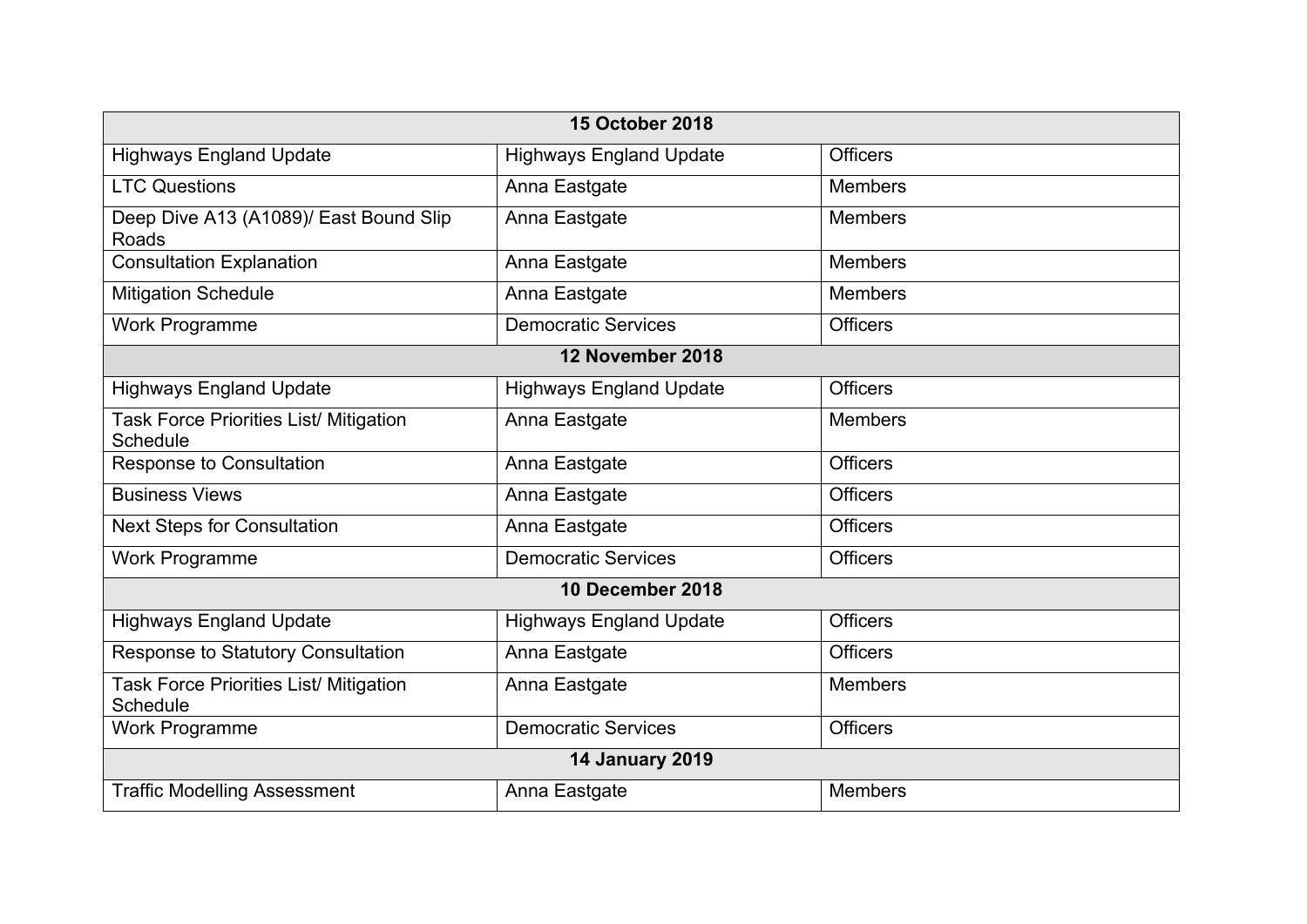| <b>15 October 2018</b>                                    |                                |                 |  |  |
|-----------------------------------------------------------|--------------------------------|-----------------|--|--|
| <b>Highways England Update</b>                            | <b>Highways England Update</b> | <b>Officers</b> |  |  |
| <b>LTC Questions</b>                                      | Anna Eastgate                  | <b>Members</b>  |  |  |
| Deep Dive A13 (A1089)/ East Bound Slip<br>Roads           | Anna Eastgate                  | <b>Members</b>  |  |  |
| <b>Consultation Explanation</b>                           | Anna Eastgate                  | <b>Members</b>  |  |  |
| <b>Mitigation Schedule</b>                                | Anna Eastgate                  | <b>Members</b>  |  |  |
| <b>Work Programme</b>                                     | <b>Democratic Services</b>     | <b>Officers</b> |  |  |
| 12 November 2018                                          |                                |                 |  |  |
| <b>Highways England Update</b>                            | <b>Highways England Update</b> | <b>Officers</b> |  |  |
| Task Force Priorities List/ Mitigation<br><b>Schedule</b> | Anna Eastgate                  | <b>Members</b>  |  |  |
| Response to Consultation                                  | Anna Eastgate                  | <b>Officers</b> |  |  |
| <b>Business Views</b>                                     | Anna Eastgate                  | <b>Officers</b> |  |  |
| <b>Next Steps for Consultation</b>                        | Anna Eastgate                  | <b>Officers</b> |  |  |
| Work Programme                                            | <b>Democratic Services</b>     | <b>Officers</b> |  |  |
| 10 December 2018                                          |                                |                 |  |  |
| <b>Highways England Update</b>                            | <b>Highways England Update</b> | <b>Officers</b> |  |  |
| Response to Statutory Consultation                        | Anna Eastgate                  | <b>Officers</b> |  |  |
| Task Force Priorities List/ Mitigation<br><b>Schedule</b> | Anna Eastgate                  | <b>Members</b>  |  |  |
| <b>Work Programme</b>                                     | <b>Democratic Services</b>     | <b>Officers</b> |  |  |
| <b>14 January 2019</b>                                    |                                |                 |  |  |
| <b>Traffic Modelling Assessment</b>                       | Anna Eastgate                  | <b>Members</b>  |  |  |